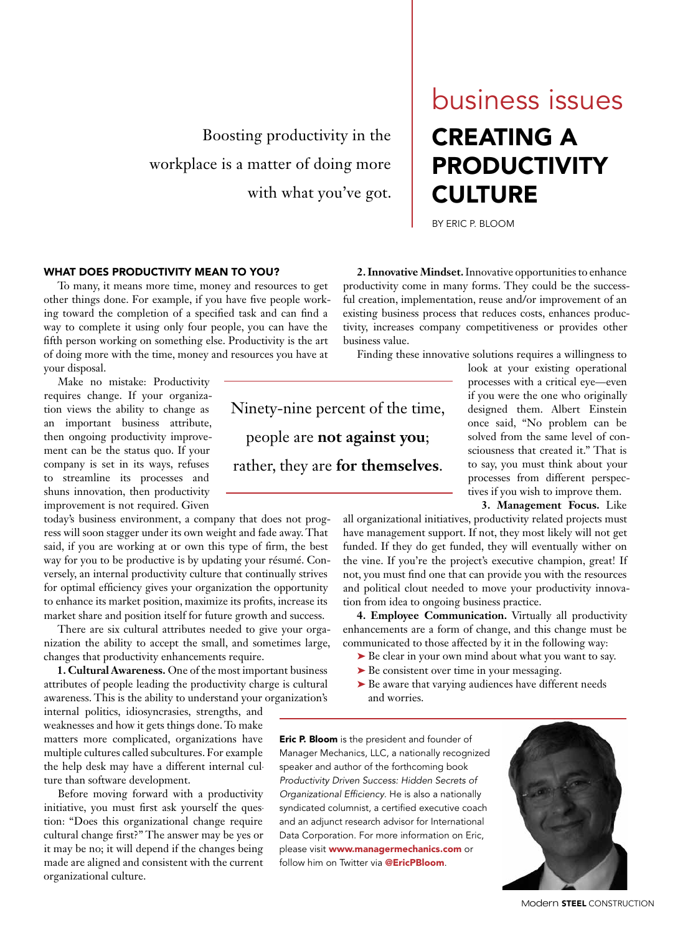Boosting productivity in the workplace is a matter of doing more with what you've got.

## CREATING A PRODUCTIVITY **CULTURE** business issues

BY ERIC P. BLOOM

## WHAT DOES PRODUCTIVITY MEAN TO YOU?

To many, it means more time, money and resources to get other things done. For example, if you have five people working toward the completion of a specified task and can find a way to complete it using only four people, you can have the fifth person working on something else. Productivity is the art of doing more with the time, money and resources you have at your disposal.

Make no mistake: Productivity requires change. If your organization views the ability to change as an important business attribute, then ongoing productivity improvement can be the status quo. If your company is set in its ways, refuses to streamline its processes and shuns innovation, then productivity improvement is not required. Given

today's business environment, a company that does not progress will soon stagger under its own weight and fade away. That said, if you are working at or own this type of firm, the best way for you to be productive is by updating your résumé. Conversely, an internal productivity culture that continually strives for optimal efficiency gives your organization the opportunity to enhance its market position, maximize its profits, increase its market share and position itself for future growth and success.

There are six cultural attributes needed to give your organization the ability to accept the small, and sometimes large, changes that productivity enhancements require.

**1. Cultural Awareness.** One of the most important business attributes of people leading the productivity charge is cultural awareness. This is the ability to understand your organization's

internal politics, idiosyncrasies, strengths, and weaknesses and how it gets things done. To make matters more complicated, organizations have multiple cultures called subcultures. For example, the help desk may have a different internal culture than software development.

Before moving forward with a productivity initiative, you must first ask yourself the question: "Does this organizational change require cultural change first?" The answer may be yes or it may be no; it will depend if the changes being made are aligned and consistent with the current organizational culture.

Ninety-nine percent of the time, people are **not against you**; rather, they are **for themselves**.

**2. Innovative Mindset.** Innovative opportunities to enhance productivity come in many forms. They could be the successful creation, implementation, reuse and/or improvement of an existing business process that reduces costs, enhances productivity, increases company competitiveness or provides other business value.

Finding these innovative solutions requires a willingness to

look at your existing operational processes with a critical eye—even if you were the one who originally designed them. Albert Einstein once said, "No problem can be solved from the same level of consciousness that created it." That is to say, you must think about your processes from different perspectives if you wish to improve them.

**3. Management Focus.** Like

all organizational initiatives, productivity related projects must have management support. If not, they most likely will not get funded. If they do get funded, they will eventually wither on the vine. If you're the project's executive champion, great! If not, you must find one that can provide you with the resources and political clout needed to move your productivity innovation from idea to ongoing business practice.

**4. Employee Communication.** Virtually all productivity enhancements are a form of change, and this change must be communicated to those affected by it in the following way:

- ▶ Be clear in your own mind about what you want to say.
- ► Be consistent over time in your messaging.
- ► Be aware that varying audiences have different needs and worries.

**Eric P. Bloom** is the president and founder of Manager Mechanics, LLC, a nationally recognized speaker and author of the forthcoming book *Productivity Driven Success: Hidden Secrets of Organizational Efficiency*. He is also a nationally syndicated columnist, a certified executive coach and an adjunct research advisor for International Data Corporation. For more information on Eric, please visit www.managermechanics.com or follow him on Twitter via **@EricPBloom**.



Modern **STEEL** CONSTRUCTION